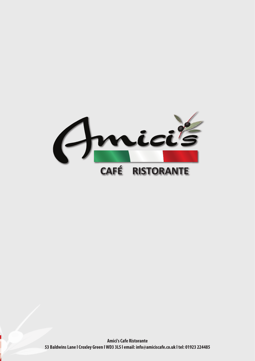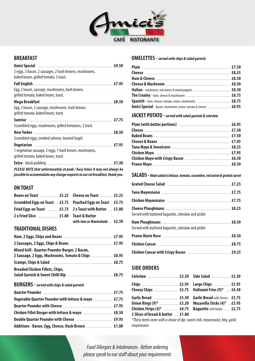

## **BREAKFAST**

| Amici Special <b>Manual Amici Special</b> 30.50                                       |  |
|---------------------------------------------------------------------------------------|--|
| 2 eggs, 2 bacon, 2 sausages, 2 hash browns, mushrooms, meson contains a control of    |  |
| baked beans, grilled tomato, 2 toast.                                                 |  |
|                                                                                       |  |
|                                                                                       |  |
| grilled tomato, baked beans, toast.                                                   |  |
|                                                                                       |  |
| Egg, 2 bacon, 2 sausage, mushrooms, hash brown, manuscriminal contact to a            |  |
| grilled tomato, baked beans, toast.                                                   |  |
|                                                                                       |  |
| Scrambled eggs, mushrooms, grilled tomatoes, 2 toast.                                 |  |
|                                                                                       |  |
| Scrambled eggs, smoked salmon, toasted bagel.                                         |  |
|                                                                                       |  |
| 1 vegetarian sausage, 2 eggs, 1 hash brown, mushrooms,                                |  |
| grilled tomato, baked beans, toast.                                                   |  |
|                                                                                       |  |
| <b>DIFACE NOTE that unfantion stake at used. I know the seat to account above the</b> |  |

**PLEASE NOTE that unfortunately at peak / busy times it may not always be possible to accommodate any change requests to our set breakfast, thank you.**

### **ON TOAST**

|                                                                                       |                              | ш    |
|---------------------------------------------------------------------------------------|------------------------------|------|
| Scrambled Eggs on Toast  £5.75 Poached Eggs on Toast  £5.75                           |                              | Chi  |
| Fried Eggs on Toast <b>Election</b> E5.75 2 x Toast with Butter <b>Election</b> E1.80 |                              | Che  |
| 2 x Fried Slice <u>manual extracts</u> for Toast & Butter                             |                              | Seri |
|                                                                                       | with Jam or Marmalade  £2.50 | Har  |

## **TRADITIONAL DISHES**

|                                                      | Pra        |
|------------------------------------------------------|------------|
|                                                      | Chi        |
| Mixed Grill - Quarter Pounder Burger, 2 Bacon,       | Chi        |
| 2 Sausage, 2 Eggs, Mushrooms, Tomato & Chips  £8.95  |            |
|                                                      |            |
|                                                      | <b>SII</b> |
|                                                      | Col        |
| <b>BURGERS</b> - served with chips & salad garnish   | Chi        |
|                                                      | Che        |
| Vegetable Quarter Pounder with lettuce & mayo  £7.75 | Gar        |
|                                                      | 0ni<br>Chi |
|                                                      | 2S         |
|                                                      | *Th        |

**Additions - Bacon, Egg, Cheese, Hash Brown** ................................ **£1.00**

#### **OMELETTES - served with chips & salad garnish**

| Amici Special - bacon, mushroom, onion, tomato & cheese  £8.95 |  |
|----------------------------------------------------------------|--|

## **JACKET POTATO - served with salad garnish & coleslaw**

#### **SALADS - Main salad is lettuce, tomato, cucumber, red onion & grated carrot**

| Served with buttered baquette, coleslaw and pickle |  |
|----------------------------------------------------|--|
| Served with buttered baguette, coleslaw and pickle |  |
|                                                    |  |
|                                                    |  |
|                                                    |  |

## **SIDE ORDERS**

| Onion Rings (9)*  £3.20 Mozarella Sticks (4)*  £3.95   |  |  |
|--------------------------------------------------------|--|--|
| Chicken Strips (4)*  £4.75 Baguette with butter  £2.75 |  |  |
| 2 Slices of bread & butter  £1.80                      |  |  |

\*These items come with a choice of dip: sweet chili, mayonnaise, bbq, garlic mayonnaise

Food Allergies & Intolerances · Before ordering please speak to our staff about your requirements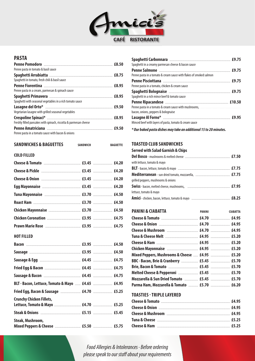

## **PASTA**

| Penne pasta in tomato & basil sauce                              |  |
|------------------------------------------------------------------|--|
|                                                                  |  |
| Spaghetti in tomato, fresh chili & basil sauce                   |  |
|                                                                  |  |
| Penne pasta in a cream, parmesan & spinach sauce                 |  |
|                                                                  |  |
| Spaghetti with seasonal vegetables in a rich tomato sauce        |  |
|                                                                  |  |
| Vegetarian lasagne with grilled seasonal vegetables              |  |
|                                                                  |  |
| Freshly filled pancakes with spinach, riccotta & parmesan cheese |  |
|                                                                  |  |
| Penne pasta in a tomato sauce with bacon & onions                |  |

| <b>SANDWICHES &amp; BAGUETTES</b> SANDWICH | <b>BAGUETTE</b> |
|--------------------------------------------|-----------------|
| <b>COLD FILLED</b>                         |                 |
|                                            |                 |
|                                            |                 |
|                                            |                 |
|                                            |                 |
|                                            |                 |
|                                            |                 |
|                                            |                 |
|                                            |                 |
|                                            |                 |

**HOT FILLED** 

| BLT - Bacon, Lettuce, Tomato & Mayo  £4.65  £4.95                       |  |
|-------------------------------------------------------------------------|--|
| Fried Egg, Bacon & Sausage  £4.70  £5.25                                |  |
| <b>Crunchy Chicken Fillets,</b><br>Lettuce, Tomato & Mayo  £4.70  £5.25 |  |
|                                                                         |  |
| Steak, Mushroom,                                                        |  |

| Spaghetti in a creamy parmesan cheese & bacon sauce                |  |
|--------------------------------------------------------------------|--|
|                                                                    |  |
| Penne pasta in a tomato & cream sauce with flakes of smoked salmon |  |
|                                                                    |  |
| Penne pasta in a tomato, chicken & cream sauce                     |  |
|                                                                    |  |
| Spaghetti in a rich mince beef & tomato sauce                      |  |
|                                                                    |  |
|                                                                    |  |
| bacon, onions, peppers & bolognaise                                |  |
|                                                                    |  |
| Minced beef with layers of pasta, tomato & cream sauce             |  |

**\* Our baked pasta dishes may take an additional 15 to 20 minutes.**

### **TOASTED CLUB SANDWICHES**

#### **Served with Salad Garnish & Chips**

| with lettuce, tomato & mayo                                                            |  |
|----------------------------------------------------------------------------------------|--|
|                                                                                        |  |
|                                                                                        |  |
| grilled peppers, mushrooms & onions                                                    |  |
| <b>Swiss</b> - bacon, melted cheese, mushrooms, manuminaminaminaminaminaminamina £7.95 |  |
| lettuce, tomato & mayo                                                                 |  |
|                                                                                        |  |

| <b>PANINI &amp; CIABATTA</b>                    | <b>PANINI</b> | <b>CIABATTA</b> |
|-------------------------------------------------|---------------|-----------------|
|                                                 |               |                 |
|                                                 |               |                 |
|                                                 |               |                 |
|                                                 |               |                 |
|                                                 |               |                 |
|                                                 |               |                 |
| Mixed Peppers, Mushrooms & Cheese  £4.95  £5.20 |               |                 |
|                                                 |               |                 |
|                                                 |               |                 |
|                                                 |               |                 |
|                                                 |               |                 |
| Parma Ham, Mozzarella & Tomato  £5.70  £6.20    |               |                 |

#### **TOASTIES - TRIPLE LAYERED**

Food Allergies & Intolerances · Before ordering please speak to our staff about your requirements